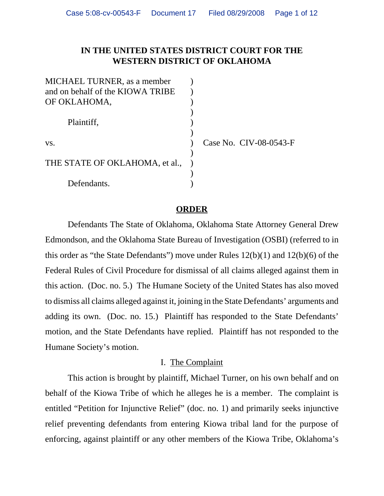# **IN THE UNITED STATES DISTRICT COURT FOR THE WESTERN DISTRICT OF OKLAHOMA**

| MICHAEL TURNER, as a member      |  |
|----------------------------------|--|
| and on behalf of the KIOWA TRIBE |  |
| OF OKLAHOMA,                     |  |
|                                  |  |
| Plaintiff,                       |  |
|                                  |  |
| VS.                              |  |
|                                  |  |
| THE STATE OF OKLAHOMA, et al.,   |  |
|                                  |  |
| Defendants.                      |  |

ase No. CIV-08-0543-F

## **ORDER**

Defendants The State of Oklahoma, Oklahoma State Attorney General Drew Edmondson, and the Oklahoma State Bureau of Investigation (OSBI) (referred to in this order as "the State Defendants") move under Rules 12(b)(1) and 12(b)(6) of the Federal Rules of Civil Procedure for dismissal of all claims alleged against them in this action. (Doc. no. 5.) The Humane Society of the United States has also moved to dismiss all claims alleged against it, joining in the State Defendants' arguments and adding its own. (Doc. no. 15.) Plaintiff has responded to the State Defendants' motion, and the State Defendants have replied. Plaintiff has not responded to the Humane Society's motion.

#### I. The Complaint

This action is brought by plaintiff, Michael Turner, on his own behalf and on behalf of the Kiowa Tribe of which he alleges he is a member. The complaint is entitled "Petition for Injunctive Relief" (doc. no. 1) and primarily seeks injunctive relief preventing defendants from entering Kiowa tribal land for the purpose of enforcing, against plaintiff or any other members of the Kiowa Tribe, Oklahoma's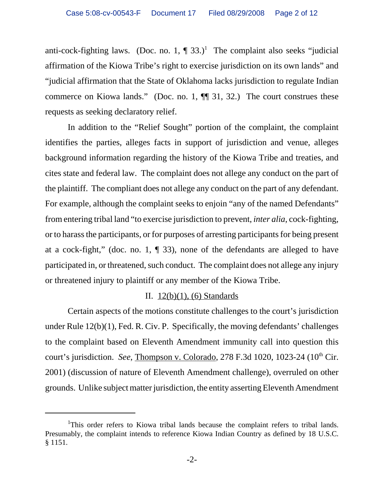anti-cock-fighting laws. (Doc. no. 1,  $\P$  33.)<sup>1</sup> The complaint also seeks "judicial affirmation of the Kiowa Tribe's right to exercise jurisdiction on its own lands" and "judicial affirmation that the State of Oklahoma lacks jurisdiction to regulate Indian commerce on Kiowa lands." (Doc. no. 1, ¶¶ 31, 32.) The court construes these requests as seeking declaratory relief.

In addition to the "Relief Sought" portion of the complaint, the complaint identifies the parties, alleges facts in support of jurisdiction and venue, alleges background information regarding the history of the Kiowa Tribe and treaties, and cites state and federal law. The complaint does not allege any conduct on the part of the plaintiff. The compliant does not allege any conduct on the part of any defendant. For example, although the complaint seeks to enjoin "any of the named Defendants" from entering tribal land "to exercise jurisdiction to prevent, *inter alia*, cock-fighting, or to harass the participants, or for purposes of arresting participants for being present at a cock-fight," (doc. no. 1, ¶ 33), none of the defendants are alleged to have participated in, or threatened, such conduct. The complaint does not allege any injury or threatened injury to plaintiff or any member of the Kiowa Tribe.

# II.  $12(b)(1)$ , (6) Standards

Certain aspects of the motions constitute challenges to the court's jurisdiction under Rule 12(b)(1), Fed. R. Civ. P. Specifically, the moving defendants' challenges to the complaint based on Eleventh Amendment immunity call into question this court's jurisdiction. *See*, Thompson v. Colorado, 278 F.3d 1020, 1023-24 (10<sup>th</sup> Cir. 2001) (discussion of nature of Eleventh Amendment challenge), overruled on other grounds. Unlike subject matter jurisdiction, the entity asserting Eleventh Amendment

<sup>&</sup>lt;sup>1</sup>This order refers to Kiowa tribal lands because the complaint refers to tribal lands. Presumably, the complaint intends to reference Kiowa Indian Country as defined by 18 U.S.C. § 1151.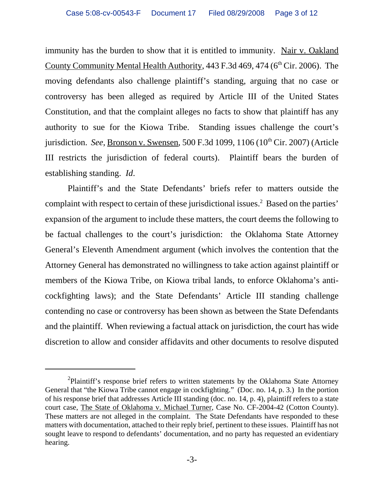immunity has the burden to show that it is entitled to immunity. Nair v. Oakland County Community Mental Health Authority,  $443$  F.3d  $469$ ,  $474$  ( $6<sup>th</sup>$  Cir. 2006). The moving defendants also challenge plaintiff's standing, arguing that no case or controversy has been alleged as required by Article III of the United States Constitution, and that the complaint alleges no facts to show that plaintiff has any authority to sue for the Kiowa Tribe. Standing issues challenge the court's jurisdiction. *See*, Bronson v. Swensen, 500 F.3d 1099, 1106 (10<sup>th</sup> Cir. 2007) (Article III restricts the jurisdiction of federal courts). Plaintiff bears the burden of establishing standing. *Id*.

Plaintiff's and the State Defendants' briefs refer to matters outside the complaint with respect to certain of these jurisdictional issues. $2$  Based on the parties' expansion of the argument to include these matters, the court deems the following to be factual challenges to the court's jurisdiction: the Oklahoma State Attorney General's Eleventh Amendment argument (which involves the contention that the Attorney General has demonstrated no willingness to take action against plaintiff or members of the Kiowa Tribe, on Kiowa tribal lands, to enforce Oklahoma's anticockfighting laws); and the State Defendants' Article III standing challenge contending no case or controversy has been shown as between the State Defendants and the plaintiff. When reviewing a factual attack on jurisdiction, the court has wide discretion to allow and consider affidavits and other documents to resolve disputed

<sup>&</sup>lt;sup>2</sup>Plaintiff's response brief refers to written statements by the Oklahoma State Attorney General that "the Kiowa Tribe cannot engage in cockfighting." (Doc. no. 14, p. 3.) In the portion of his response brief that addresses Article III standing (doc. no. 14, p. 4), plaintiff refers to a state court case, The State of Oklahoma v. Michael Turner, Case No. CF-2004-42 (Cotton County). These matters are not alleged in the complaint. The State Defendants have responded to these matters with documentation, attached to their reply brief, pertinent to these issues. Plaintiff has not sought leave to respond to defendants' documentation, and no party has requested an evidentiary hearing.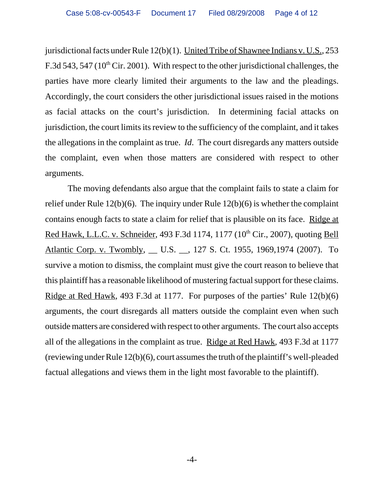jurisdictional facts under Rule 12(b)(1). United Tribe of Shawnee Indians v. U.S., 253 F.3d 543, 547 ( $10^{th}$  Cir. 2001). With respect to the other jurisdictional challenges, the parties have more clearly limited their arguments to the law and the pleadings. Accordingly, the court considers the other jurisdictional issues raised in the motions as facial attacks on the court's jurisdiction. In determining facial attacks on jurisdiction, the court limits its review to the sufficiency of the complaint, and it takes the allegations in the complaint as true. *Id*. The court disregards any matters outside the complaint, even when those matters are considered with respect to other arguments.

The moving defendants also argue that the complaint fails to state a claim for relief under Rule 12(b)(6). The inquiry under Rule 12(b)(6) is whether the complaint contains enough facts to state a claim for relief that is plausible on its face. Ridge at Red Hawk, L.L.C. v. Schneider, 493 F.3d 1174, 1177 (10<sup>th</sup> Cir., 2007), quoting Bell Atlantic Corp. v. Twombly, \_\_ U.S. \_\_, 127 S. Ct. 1955, 1969, 1974 (2007). To survive a motion to dismiss, the complaint must give the court reason to believe that this plaintiff has a reasonable likelihood of mustering factual support for these claims. Ridge at Red Hawk, 493 F.3d at 1177. For purposes of the parties' Rule 12(b)(6) arguments, the court disregards all matters outside the complaint even when such outside matters are considered with respect to other arguments. The court also accepts all of the allegations in the complaint as true. Ridge at Red Hawk, 493 F.3d at 1177 (reviewing under Rule 12(b)(6), court assumes the truth of the plaintiff's well-pleaded factual allegations and views them in the light most favorable to the plaintiff).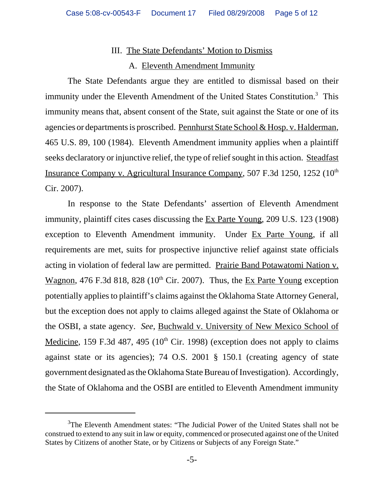# III. The State Defendants' Motion to Dismiss

## A. Eleventh Amendment Immunity

The State Defendants argue they are entitled to dismissal based on their immunity under the Eleventh Amendment of the United States Constitution.<sup>3</sup> This immunity means that, absent consent of the State, suit against the State or one of its agencies or departments is proscribed. Pennhurst State School & Hosp. v. Halderman, 465 U.S. 89, 100 (1984). Eleventh Amendment immunity applies when a plaintiff seeks declaratory or injunctive relief, the type of relief sought in this action. Steadfast Insurance Company v. Agricultural Insurance Company, 507 F.3d 1250, 1252 (10<sup>th</sup>) Cir. 2007).

In response to the State Defendants' assertion of Eleventh Amendment immunity, plaintiff cites cases discussing the Ex Parte Young, 209 U.S. 123 (1908) exception to Eleventh Amendment immunity. Under Ex Parte Young, if all requirements are met, suits for prospective injunctive relief against state officials acting in violation of federal law are permitted. Prairie Band Potawatomi Nation v. Wagnon, 476 F.3d 818, 828 ( $10^{th}$  Cir. 2007). Thus, the Ex Parte Young exception potentially applies to plaintiff's claims against the Oklahoma State Attorney General, but the exception does not apply to claims alleged against the State of Oklahoma or the OSBI, a state agency. *See*, Buchwald v. University of New Mexico School of Medicine, 159 F.3d 487, 495 ( $10<sup>th</sup>$  Cir. 1998) (exception does not apply to claims against state or its agencies); 74 O.S. 2001 § 150.1 (creating agency of state government designated as the Oklahoma State Bureau of Investigation). Accordingly, the State of Oklahoma and the OSBI are entitled to Eleventh Amendment immunity

<sup>&</sup>lt;sup>3</sup>The Eleventh Amendment states: "The Judicial Power of the United States shall not be construed to extend to any suit in law or equity, commenced or prosecuted against one of the United States by Citizens of another State, or by Citizens or Subjects of any Foreign State."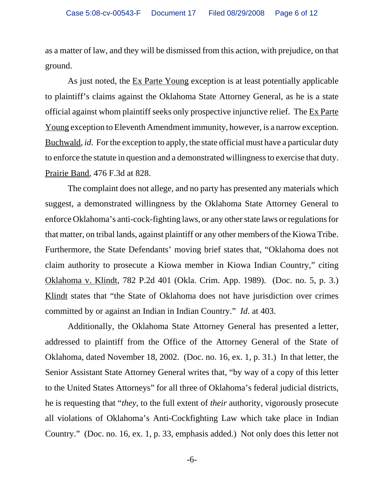as a matter of law, and they will be dismissed from this action, with prejudice, on that ground.

 As just noted, the Ex Parte Young exception is at least potentially applicable to plaintiff's claims against the Oklahoma State Attorney General, as he is a state official against whom plaintiff seeks only prospective injunctive relief. The Ex Parte Young exception to Eleventh Amendment immunity, however, is a narrow exception. Buchwald, *id*. For the exception to apply, the state official must have a particular duty to enforce the statute in question and a demonstrated willingness to exercise that duty. Prairie Band, 476 F.3d at 828.

The complaint does not allege, and no party has presented any materials which suggest, a demonstrated willingness by the Oklahoma State Attorney General to enforce Oklahoma's anti-cock-fighting laws, or any other state laws or regulations for that matter, on tribal lands, against plaintiff or any other members of the Kiowa Tribe. Furthermore, the State Defendants' moving brief states that, "Oklahoma does not claim authority to prosecute a Kiowa member in Kiowa Indian Country," citing Oklahoma v. Klindt, 782 P.2d 401 (Okla. Crim. App. 1989). (Doc. no. 5, p. 3.) Klindt states that "the State of Oklahoma does not have jurisdiction over crimes committed by or against an Indian in Indian Country." *Id.* at 403.

 Additionally, the Oklahoma State Attorney General has presented a letter, addressed to plaintiff from the Office of the Attorney General of the State of Oklahoma, dated November 18, 2002. (Doc. no. 16, ex. 1, p. 31.) In that letter, the Senior Assistant State Attorney General writes that, "by way of a copy of this letter to the United States Attorneys" for all three of Oklahoma's federal judicial districts, he is requesting that "*they*, to the full extent of *their* authority, vigorously prosecute all violations of Oklahoma's Anti-Cockfighting Law which take place in Indian Country." (Doc. no. 16, ex. 1, p. 33, emphasis added.) Not only does this letter not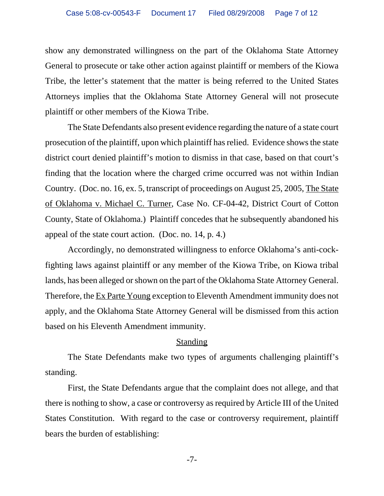show any demonstrated willingness on the part of the Oklahoma State Attorney General to prosecute or take other action against plaintiff or members of the Kiowa Tribe, the letter's statement that the matter is being referred to the United States Attorneys implies that the Oklahoma State Attorney General will not prosecute plaintiff or other members of the Kiowa Tribe.

The State Defendants also present evidence regarding the nature of a state court prosecution of the plaintiff, upon which plaintiff has relied. Evidence shows the state district court denied plaintiff's motion to dismiss in that case, based on that court's finding that the location where the charged crime occurred was not within Indian Country. (Doc. no. 16, ex. 5, transcript of proceedings on August 25, 2005, The State of Oklahoma v. Michael C. Turner, Case No. CF-04-42, District Court of Cotton County, State of Oklahoma.) Plaintiff concedes that he subsequently abandoned his appeal of the state court action. (Doc. no. 14, p. 4.)

Accordingly, no demonstrated willingness to enforce Oklahoma's anti-cockfighting laws against plaintiff or any member of the Kiowa Tribe, on Kiowa tribal lands, has been alleged or shown on the part of the Oklahoma State Attorney General. Therefore, the Ex Parte Young exception to Eleventh Amendment immunity does not apply, and the Oklahoma State Attorney General will be dismissed from this action based on his Eleventh Amendment immunity.

# Standing

The State Defendants make two types of arguments challenging plaintiff's standing.

First, the State Defendants argue that the complaint does not allege, and that there is nothing to show, a case or controversy as required by Article III of the United States Constitution. With regard to the case or controversy requirement, plaintiff bears the burden of establishing: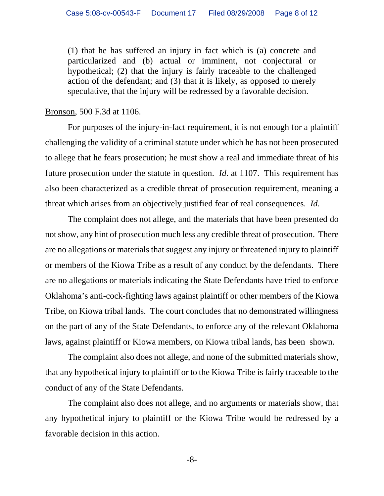(1) that he has suffered an injury in fact which is (a) concrete and particularized and (b) actual or imminent, not conjectural or hypothetical; (2) that the injury is fairly traceable to the challenged action of the defendant; and (3) that it is likely, as opposed to merely speculative, that the injury will be redressed by a favorable decision.

Bronson, 500 F.3d at 1106.

For purposes of the injury-in-fact requirement, it is not enough for a plaintiff challenging the validity of a criminal statute under which he has not been prosecuted to allege that he fears prosecution; he must show a real and immediate threat of his future prosecution under the statute in question. *Id*. at 1107. This requirement has also been characterized as a credible threat of prosecution requirement, meaning a threat which arises from an objectively justified fear of real consequences. *Id*.

The complaint does not allege, and the materials that have been presented do not show, any hint of prosecution much less any credible threat of prosecution. There are no allegations or materials that suggest any injury or threatened injury to plaintiff or members of the Kiowa Tribe as a result of any conduct by the defendants. There are no allegations or materials indicating the State Defendants have tried to enforce Oklahoma's anti-cock-fighting laws against plaintiff or other members of the Kiowa Tribe, on Kiowa tribal lands. The court concludes that no demonstrated willingness on the part of any of the State Defendants, to enforce any of the relevant Oklahoma laws, against plaintiff or Kiowa members, on Kiowa tribal lands, has been shown.

The complaint also does not allege, and none of the submitted materials show, that any hypothetical injury to plaintiff or to the Kiowa Tribe is fairly traceable to the conduct of any of the State Defendants.

The complaint also does not allege, and no arguments or materials show, that any hypothetical injury to plaintiff or the Kiowa Tribe would be redressed by a favorable decision in this action.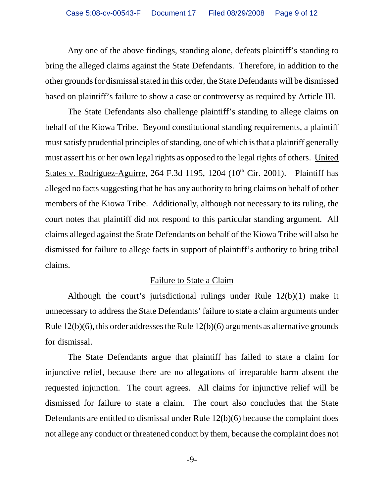Any one of the above findings, standing alone, defeats plaintiff's standing to bring the alleged claims against the State Defendants. Therefore, in addition to the other grounds for dismissal stated in this order, the State Defendants will be dismissed based on plaintiff's failure to show a case or controversy as required by Article III.

The State Defendants also challenge plaintiff's standing to allege claims on behalf of the Kiowa Tribe. Beyond constitutional standing requirements, a plaintiff must satisfy prudential principles of standing, one of which is that a plaintiff generally must assert his or her own legal rights as opposed to the legal rights of others. United States v. Rodriguez-Aguirre, 264 F.3d 1195, 1204  $(10<sup>th</sup> Cir. 2001)$ . Plaintiff has alleged no facts suggesting that he has any authority to bring claims on behalf of other members of the Kiowa Tribe. Additionally, although not necessary to its ruling, the court notes that plaintiff did not respond to this particular standing argument. All claims alleged against the State Defendants on behalf of the Kiowa Tribe will also be dismissed for failure to allege facts in support of plaintiff's authority to bring tribal claims.

# Failure to State a Claim

Although the court's jurisdictional rulings under Rule 12(b)(1) make it unnecessary to address the State Defendants' failure to state a claim arguments under Rule 12(b)(6), this order addresses the Rule 12(b)(6) arguments as alternative grounds for dismissal.

The State Defendants argue that plaintiff has failed to state a claim for injunctive relief, because there are no allegations of irreparable harm absent the requested injunction. The court agrees. All claims for injunctive relief will be dismissed for failure to state a claim. The court also concludes that the State Defendants are entitled to dismissal under Rule 12(b)(6) because the complaint does not allege any conduct or threatened conduct by them, because the complaint does not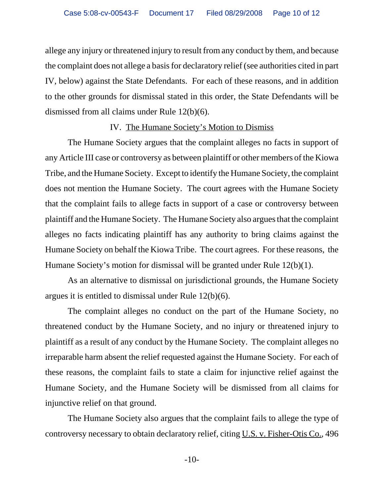allege any injury or threatened injury to result from any conduct by them, and because the complaint does not allege a basis for declaratory relief (see authorities cited in part IV, below) against the State Defendants. For each of these reasons, and in addition to the other grounds for dismissal stated in this order, the State Defendants will be dismissed from all claims under Rule 12(b)(6).

#### IV. The Humane Society's Motion to Dismiss

The Humane Society argues that the complaint alleges no facts in support of any Article III case or controversy as between plaintiff or other members of the Kiowa Tribe, and the Humane Society. Except to identify the Humane Society, the complaint does not mention the Humane Society. The court agrees with the Humane Society that the complaint fails to allege facts in support of a case or controversy between plaintiff and the Humane Society. The Humane Society also argues that the complaint alleges no facts indicating plaintiff has any authority to bring claims against the Humane Society on behalf the Kiowa Tribe. The court agrees. For these reasons, the Humane Society's motion for dismissal will be granted under Rule 12(b)(1).

As an alternative to dismissal on jurisdictional grounds, the Humane Society argues it is entitled to dismissal under Rule 12(b)(6).

The complaint alleges no conduct on the part of the Humane Society, no threatened conduct by the Humane Society, and no injury or threatened injury to plaintiff as a result of any conduct by the Humane Society. The complaint alleges no irreparable harm absent the relief requested against the Humane Society. For each of these reasons, the complaint fails to state a claim for injunctive relief against the Humane Society, and the Humane Society will be dismissed from all claims for injunctive relief on that ground.

The Humane Society also argues that the complaint fails to allege the type of controversy necessary to obtain declaratory relief, citing U.S. v. Fisher-Otis Co., 496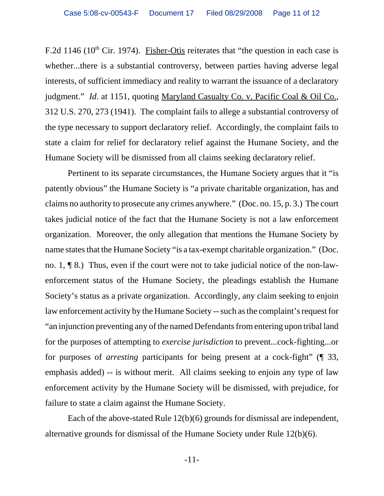F.2d 1146 ( $10^{th}$  Cir. 1974). Fisher-Otis reiterates that "the question in each case is whether...there is a substantial controversy, between parties having adverse legal interests, of sufficient immediacy and reality to warrant the issuance of a declaratory judgment." *Id*. at 1151, quoting Maryland Casualty Co. v. Pacific Coal & Oil Co., 312 U.S. 270, 273 (1941). The complaint fails to allege a substantial controversy of the type necessary to support declaratory relief. Accordingly, the complaint fails to state a claim for relief for declaratory relief against the Humane Society, and the Humane Society will be dismissed from all claims seeking declaratory relief.

 Pertinent to its separate circumstances, the Humane Society argues that it "is patently obvious" the Humane Society is "a private charitable organization, has and claims no authority to prosecute any crimes anywhere." (Doc. no. 15, p. 3.) The court takes judicial notice of the fact that the Humane Society is not a law enforcement organization. Moreover, the only allegation that mentions the Humane Society by name states that the Humane Society "is a tax-exempt charitable organization." (Doc. no. 1, ¶ 8.) Thus, even if the court were not to take judicial notice of the non-lawenforcement status of the Humane Society, the pleadings establish the Humane Society's status as a private organization. Accordingly, any claim seeking to enjoin law enforcement activity by the Humane Society -- such as the complaint's request for "an injunction preventing any of the named Defendants from entering upon tribal land for the purposes of attempting to *exercise jurisdiction* to prevent...cock-fighting...or for purposes of *arresting* participants for being present at a cock-fight" (¶ 33, emphasis added) -- is without merit. All claims seeking to enjoin any type of law enforcement activity by the Humane Society will be dismissed, with prejudice, for failure to state a claim against the Humane Society.

Each of the above-stated Rule 12(b)(6) grounds for dismissal are independent, alternative grounds for dismissal of the Humane Society under Rule 12(b)(6).